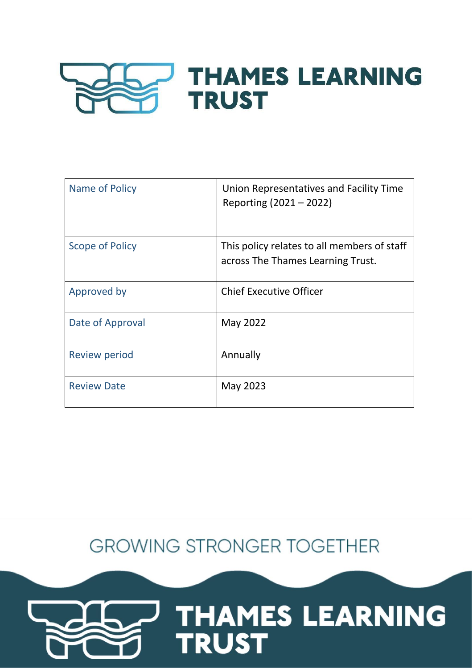

| Name of Policy         | Union Representatives and Facility Time<br>Reporting (2021 – 2022)               |
|------------------------|----------------------------------------------------------------------------------|
| <b>Scope of Policy</b> | This policy relates to all members of staff<br>across The Thames Learning Trust. |
| Approved by            | <b>Chief Executive Officer</b>                                                   |
| Date of Approval       | May 2022                                                                         |
| Review period          | Annually                                                                         |
| <b>Review Date</b>     | May 2023                                                                         |

**GROWING STRONGER TOGETHER** 

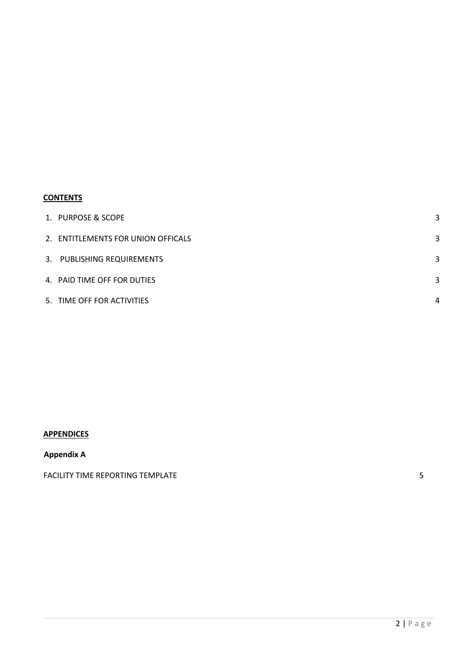# **CONTENTS**

| 1. PURPOSE & SCOPE                 |   |
|------------------------------------|---|
| 2. ENTITLEMENTS FOR UNION OFFICALS | 3 |
| 3. PUBLISHING REQUIREMENTS         | 3 |
| 4. PAID TIME OFF FOR DUTIES        | 3 |
| 5. TIME OFF FOR ACTIVITIES         | Δ |

# **APPENDICES**

## **Appendix A**

FACILITY TIME REPORTING TEMPLATE **FACILITY** TIME REPORTING TEMPLATE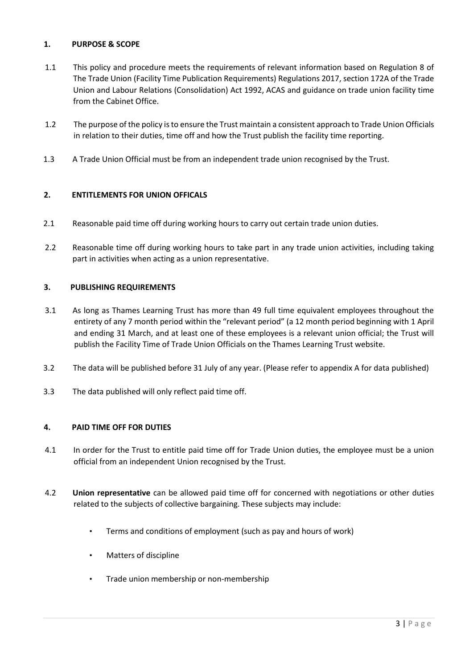## <span id="page-2-0"></span>**1. PURPOSE & SCOPE**

- 1.1 This policy and procedure meets the requirements of relevant information based on Regulation 8 of The Trade Union (Facility Time Publication Requirements) Regulations 2017, section 172A of the Trade Union and Labour Relations (Consolidation) Act 1992, ACAS and guidance on trade union facility time from the Cabinet Office.
- 1.2 The purpose of the policy is to ensure the Trust maintain a consistent approach to Trade Union Officials in relation to their duties, time off and how the Trust publish the facility time reporting.
- 1.3 A Trade Union Official must be from an independent trade union recognised by the Trust.

### <span id="page-2-1"></span>**2. ENTITLEMENTS FOR UNION OFFICALS**

- 2.1 Reasonable paid time off during working hours to carry out certain trade union duties.
- 2.2 Reasonable time off during working hours to take part in any trade union activities, including taking part in activities when acting as a union representative.

### <span id="page-2-2"></span>**3. PUBLISHING REQUIREMENTS**

- 3.1 As long as Thames Learning Trust has more than 49 full time equivalent employees throughout the entirety of any 7 month period within the "relevant period" (a 12 month period beginning with 1 April and ending 31 March, and at least one of these employees is a relevant union official; the Trust will publish the Facility Time of Trade Union Officials on the Thames Learning Trust website.
- 3.2 The data will be published before 31 July of any year. (Please refer to appendix A for data published)
- 3.3 The data published will only reflect paid time off.

#### <span id="page-2-3"></span>**4. PAID TIME OFF FOR DUTIES**

- 4.1 In order for the Trust to entitle paid time off for Trade Union duties, the employee must be a union official from an independent Union recognised by the Trust.
- 4.2 **Union representative** can be allowed paid time off for concerned with negotiations or other duties related to the subjects of collective bargaining. These subjects may include:
	- Terms and conditions of employment (such as pay and hours of work)
	- Matters of discipline
	- Trade union membership or non-membership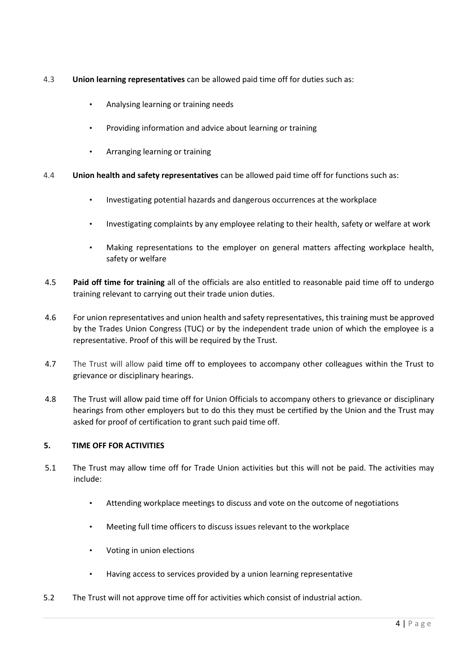- 4.3 **Union learning representatives** can be allowed paid time off for duties such as:
	- Analysing learning or training needs
	- Providing information and advice about learning or training
	- Arranging learning or training
- 4.4 **Union health and safety representatives** can be allowed paid time off for functions such as:
	- Investigating potential hazards and dangerous occurrences at the workplace
	- Investigating complaints by any employee relating to their health, safety or welfare at work
	- Making representations to the employer on general matters affecting workplace health, safety or welfare
- 4.5 **Paid off time for training** all of the officials are also entitled to reasonable paid time off to undergo training relevant to carrying out their trade union duties.
- 4.6 For union representatives and union health and safety representatives, this training must be approved by the Trades Union Congress (TUC) or by the independent trade union of which the employee is a representative. Proof of this will be required by the Trust.
- 4.7 The Trust will allow paid time off to employees to accompany other colleagues within the Trust to grievance or disciplinary hearings.
- 4.8 The Trust will allow paid time off for Union Officials to accompany others to grievance or disciplinary hearings from other employers but to do this they must be certified by the Union and the Trust may asked for proof of certification to grant such paid time off.

## <span id="page-3-0"></span>**5. TIME OFF FOR ACTIVITIES**

- 5.1 The Trust may allow time off for Trade Union activities but this will not be paid. The activities may include:
	- Attending workplace meetings to discuss and vote on the outcome of negotiations
	- Meeting full time officers to discuss issues relevant to the workplace
	- Voting in union elections
	- Having access to services provided by a union learning representative
- 5.2 The Trust will not approve time off for activities which consist of industrial action.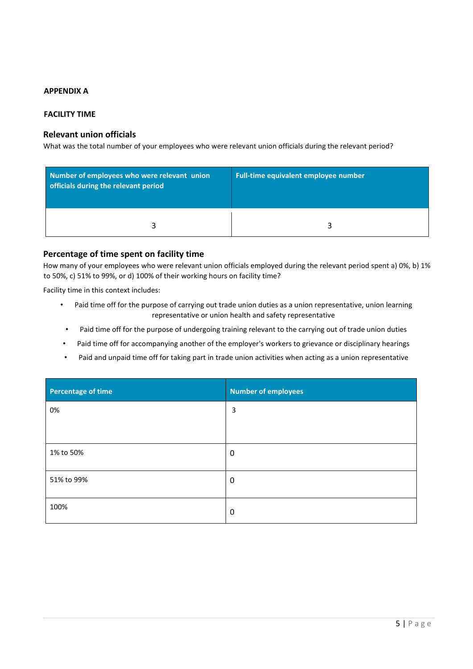### **APPENDIX A**

#### **FACILITY TIME**

## **Relevant union officials**

What was the total number of your employees who were relevant union officials during the relevant period?

| Number of employees who were relevant union<br>officials during the relevant period | Full-time equivalent employee number |
|-------------------------------------------------------------------------------------|--------------------------------------|
|                                                                                     |                                      |

#### **Percentage of time spent on facility time**

How many of your employees who were relevant union officials employed during the relevant period spent a) 0%, b) 1% to 50%, c) 51% to 99%, or d) 100% of their working hours on facility time?

Facility time in this context includes:

- Paid time off for the purpose of carrying out trade union duties as a union representative, union learning representative or union health and safety representative
- Paid time off for the purpose of undergoing training relevant to the carrying out of trade union duties
- Paid time off for accompanying another of the employer's workers to grievance or disciplinary hearings
- Paid and unpaid time off for taking part in trade union activities when acting as a union representative

| <b>Percentage of time</b> | <b>Number of employees</b> |
|---------------------------|----------------------------|
| 0%                        | 3                          |
|                           |                            |
| 1% to 50%                 | 0                          |
| 51% to 99%                | 0                          |
| 100%                      | $\mathbf 0$                |